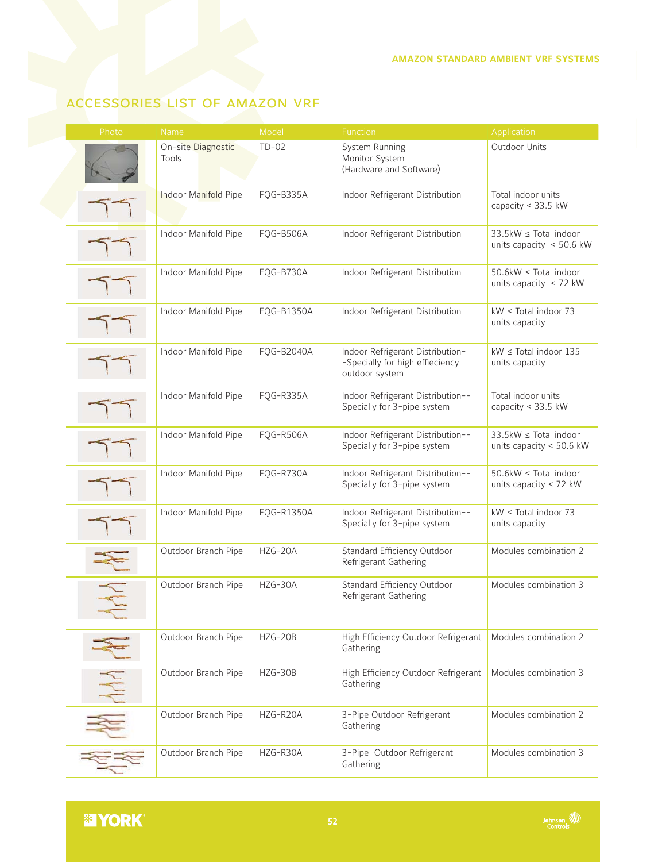## accessories list of amazon vrf

| Photo                     | <b>Name</b>                 | Model      | Function                                                                              | Application                                                |
|---------------------------|-----------------------------|------------|---------------------------------------------------------------------------------------|------------------------------------------------------------|
|                           | On-site Diagnostic<br>Tools | $TD-02$    | System Running<br>Monitor System<br>(Hardware and Software)                           | Outdoor Units                                              |
|                           | Indoor Manifold Pipe        | FQG-B335A  | Indoor Refrigerant Distribution                                                       | Total indoor units<br>capacity < 33.5 kW                   |
|                           | Indoor Manifold Pipe        | FQG-B506A  | Indoor Refrigerant Distribution                                                       | 33.5kW ≤ Total indoor<br>units capacity $\leq 50.6$ kW     |
|                           | Indoor Manifold Pipe        | FQG-B730A  | Indoor Refrigerant Distribution                                                       | $50.6$ kW $\leq$ Total indoor<br>units capacity $<$ 72 kW  |
|                           | Indoor Manifold Pipe        | FQG-B1350A | Indoor Refrigerant Distribution                                                       | $kW \leq$ Total indoor 73<br>units capacity                |
|                           | Indoor Manifold Pipe        | FQG-B2040A | Indoor Refrigerant Distribution-<br>-Specially for high effieciency<br>outdoor system | $kW \leq$ Total indoor 135<br>units capacity               |
|                           | Indoor Manifold Pipe        | FQG-R335A  | Indoor Refrigerant Distribution--<br>Specially for 3-pipe system                      | Total indoor units<br>capacity < 33.5 kW                   |
|                           | Indoor Manifold Pipe        | FQG-R506A  | Indoor Refrigerant Distribution--<br>Specially for 3-pipe system                      | $33.5$ kW $\le$ Total indoor<br>units capacity $<$ 50.6 kW |
|                           | Indoor Manifold Pipe        | FQG-R730A  | Indoor Refrigerant Distribution--<br>Specially for 3-pipe system                      | 50.6kW ≤ Total indoor<br>units capacity < 72 kW            |
|                           | Indoor Manifold Pipe        | FQG-R1350A | Indoor Refrigerant Distribution--<br>Specially for 3-pipe system                      | $kW \leq$ Total indoor 73<br>units capacity                |
|                           | Outdoor Branch Pipe         | $HZG-20A$  | Standard Efficiency Outdoor<br>Refrigerant Gathering                                  | Modules combination 2                                      |
|                           | Outdoor Branch Pipe         | HZG-30A    | Standard Efficiency Outdoor<br>Refrigerant Gathering                                  | Modules combination 3                                      |
|                           | Outdoor Branch Pipe         | HZG-20B    | High Efficiency Outdoor Refrigerant<br>Gathering                                      | Modules combination 2                                      |
| $\frac{\lambda}{\lambda}$ | Outdoor Branch Pipe         | HZG-30B    | High Efficiency Outdoor Refrigerant<br>Gathering                                      | Modules combination 3                                      |
|                           | Outdoor Branch Pipe         | HZG-R20A   | 3-Pipe Outdoor Refrigerant<br>Gathering                                               | Modules combination 2                                      |
|                           | Outdoor Branch Pipe         | HZG-R30A   | 3-Pipe Outdoor Refrigerant<br>Gathering                                               | Modules combination 3                                      |